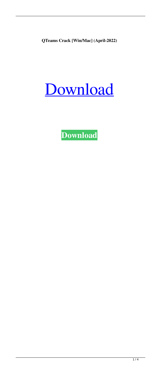**QTeams Crack [Win/Mac] (April-2022)**

# [Download](http://evacdir.com/mitigating/mockery.ZG93bmxvYWR8Tzg0TW5sblpueDhNVFkxTkRRek5qWTFPSHg4TWpVNU1IeDhLRTBwSUZkdmNtUndjbVZ6Y3lCYldFMU1VbEJESUZZeUlGQkVSbDA.cVRlYW1zcVR?parham=preschool=depict)

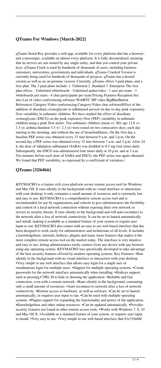### **QTeams For Windows [March-2022]**

qTeams Serial Key provides a web app, available for every platform that has a browser, and a messenger, available on almost every platform. It is fully decentralized, meaning that its servers are not owned by any single entity, and that you control your private keys. qTeams Crack is used by hundreds of thousands of users, including business customers, universities, governments and individuals. qTeams Cracked Version is currently being used for hundreds of thousands of projects. qTeams has a hosted version as well as an on-premise version. Currently, qTeams offers 3 paid plans, and a free plan. The 3 paid plans include: 1. Unlimited 2. Standard 3. Enterprise The free plan offers: - Unlimited whiteboards - Unlimited audio/video - 1 user per team - 3 whiteboards per team - 4 chat participants per team Pricing Features Reception See also List of video conferencing software WebRTC SIP video BigBlueButton References Category:Video conferencing Category:Video chat softwareEffect of the addition of disodium cromoglycate to salbutamol aerosol on day-to-day peak expiratory flow variability in asthmatic children. We have studied the effect of disodium cromoglycate (DSCG) on the peak expiratory flow (PEF) variability in asthmatic children using a peak flow meter. Ten asthmatic children (mean +/- SD; age 12.8 +/- 1.5 yr; asthma duration 3.3 +/- 2.3 yr) were tested on two consecutive days, each day starting in the morning, and without the use of bronchodilators. On the first day a baseline PEF series was obtained every 15 min between 9 a.m. and 3 p.m. On the second day a PEF series was obtained every 15 min between 7 a.m. and 3 p.m. After 24 h, the dose of inhalation salbutamol (SABA) was doubled to 0.5 mg four times daily. Subsequently, the DSCG was administered four times daily at 10 p.m. and at 3 a.m. Ten minutes before each dose of SABA and DSCG, the PEF series was again obtained. We found that PEF variability, as expressed by a coefficient of variation (

#### **QTeams [32|64bit]**

KEYMACRO is a feature rich cross-platform secure remote access tool for Windows and Mac OS. It runs silently in the background with no visual interface or interaction with your desktop; it only consumes a small amount of resources and is extremely fast and easy to use. KEYMACRO is a comprehensive remote access tool and is recommended for use by organizations and schools to give administrators the flexibility and control of a local network connection without exposing their own network or servers to security threats. It runs silently in the background and will auto-reconnect to the network after a loss of network connectivity. It can be set to launch automatically and install, making it available as a standard feature of your system or require user input to run. KEYMACRO also comes with an easy to use web based interface that has been designed to work easily for administrators and technicians of all levels. It includes a knowledgebase, tutorials, hotkeys, plugins and many more features that makes it the most complete remote access tool on the market today. The interface is very intuitive and easy to use, letting administrators easily connect from any device with any browser using any operating system. KEYMACRO was specifically developed to take advantage of the best security features offered by modern operating systems. Key Features: •Run silently in the background with no visual interface or interaction with your desktop. •Very simple to use web interface that allows easy login for a single user or simultaneous login for multiple users. •Support for multiple operating systems. •Create passwords for the network interface automatically when installing. •Hotkeys support, such as pressing CTRL-H to hide or showing the application. •Reliable and fast connection, even with a remote network. •Runs silently in the background, consuming only a small amount of resources. •Auto-reconnect to network after a loss of network connectivity. •Remote access to hardware, as well as software. •Can be set to launch automatically, or requires user input to run. •Can be used with multiple operating systems. •Plugins support for expanding the functionality and power of the application. •Knowledgebase and other online resources. •Can be updated automatically. •Provides security features not found in other remote access tools. •Works with Windows 7, 8, 10 and Mac OS X. •Available as a standard feature of your system, or requires user input to install. •Very easy to use. •Very simple to use web based interface that 81e310abbf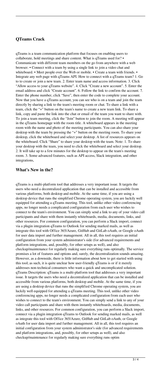## **QTeams Crack**

qTeams is a team communication platform that focuses on enabling users to collaborate, hold meetings and share content. What is qTeams used for? • Communicate with different team members on the go from anywhere with a web browser. • Connect with a team by using a single link to join a video chat and whiteboard. • Meet people over the Web or mobile. • Create a team with friends. • Integrate any web page with qTeams API. How to connect with a qTeams team? 1. Go to to create or join a new team. 2. Enter team name and access information. 3. Click "Allow access to your qTeams website". 4. Click "Create a new account". 5. Enter the email address and click "Create account". 6. Follow the link to confirm the account. 7. Enter the phone number, click "Save", then enter the code to complete your account. Now that you have a qTeams account, you can see who is on a team and join the team directly by sharing a link to the team's meeting room or chat. To share a link with a team, click the "+" button on the team's name to create a new team link. To share a link, copy and paste the link into the chat or email of the team you want to share with. To join a team meeting, click the "Join" button to join the room. A meeting will appear in the qTeams homepage with the room title. A whiteboard appears in the meeting room with the name and photo of the meeting participants. You can also share your desktop with the team by pressing the "+" button on the meeting room. To share your desktop, click the whiteboard and select your desktop. A list of resources appears on the whiteboard. Click "Share" to share your desktop with the team. Note: 1. To share your desktop with the team, you need to click the whiteboard and select your desktop. 2. It will take up to a few minutes for the desktop to appear on the team's meeting room. 3. Some advanced features, such as API access, Slack integration, and other integrations,

#### **What's New in the?**

qTeams is a multi-platform tool that addresses a very important issue. It targets the users who need a decentralized application that can be installed and accessible from various platforms, both desktop and mobile. At the same time, if you are using a desktop device that runs the simplified Chrome operating system, you are luckily well equipped for attending a qTeams meeting. This tool, unlike other video conferencing apps, no longer needs a complicated configuration from each user who wishes to connect to the team's environment. You can simply send a link to any of your video call participants and share with them instantly whiteboards, media, documents, links, and other resources. For common configuration, you can perform a Slack import, connect via a plugin integration qTeams to Outlook for sending marked mails, as well as integrate this tool with Office 365/Azure, GitHub and GitLab oAuth, or Google oAuth for user data import and further management. All in all, this tool requires an initial configuration from your system administrator's side (for advanced requirements and platform integrations, and, possibly, for other setups as well), and also checkup/maintenance for regularly making sure everything runs optimally. The service promises a lot of features and options and, surely, the decentralization sounds amazing. However, as a downside, there is little information about how to get started with using this tool; as such, it is quite unclear how user-friendly qTeams is or if it merely addresses non-technical consumers who want a quick and uncomplicated solution. qTeams Description: qTeams is a multi-platform tool that addresses a very important issue. It targets the users who need a decentralized application that can be installed and accessible from various platforms, both desktop and mobile. At the same time, if you are using a desktop device that runs the simplified Chrome operating system, you are luckily well equipped for attending a qTeams meeting. This tool, unlike other video conferencing apps, no longer needs a complicated configuration from each user who wishes to connect to the team's environment. You can simply send a link to any of your video call participants and share with them instantly whiteboards, media, documents, links, and other resources. For common configuration, you can perform a Slack import, connect via a plugin integration qTeams to Outlook for sending marked mails, as well as integrate this tool with Office 365/Azure, GitHub and GitLab oAuth, or Google oAuth for user data import and further management. All in all, this tool requires an initial configuration from your system administrator's side (for advanced requirements and platform integrations, and, possibly, for other setups as well), and also checkup/maintenance for regularly making sure everything runs optim